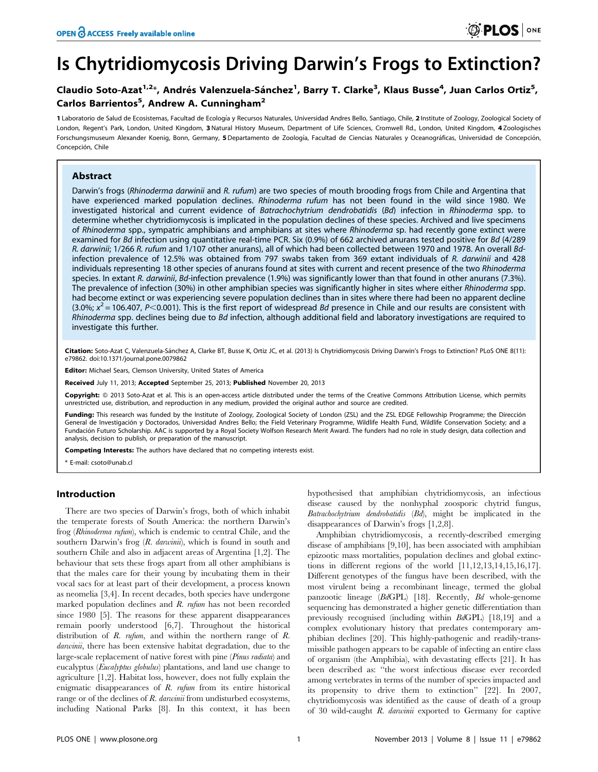# Is Chytridiomycosis Driving Darwin's Frogs to Extinction?

## Claudio Soto-Azat<sup>1,2</sup>\*, Andrés Valenzuela-Sánchez<sup>1</sup>, Barry T. Clarke<sup>3</sup>, Klaus Busse<sup>4</sup>, Juan Carlos Ortiz<sup>5</sup>, Carlos Barrientos<sup>5</sup>, Andrew A. Cunningham<sup>2</sup>

1 Laboratorio de Salud de Ecosistemas, Facultad de Ecología y Recursos Naturales, Universidad Andres Bello, Santiago, Chile, 2 Institute of Zoology, Zoological Society of London, Regent's Park, London, United Kingdom, 3 Natural History Museum, Department of Life Sciences, Cromwell Rd., London, United Kingdom, 4 Zoologisches Forschungsmuseum Alexander Koenig, Bonn, Germany, 5 Departamento de Zoología, Facultad de Ciencias Naturales y Oceanográficas, Universidad de Concepción, Concepción, Chile

## Abstract

Darwin's frogs (Rhinoderma darwinii and R. rufum) are two species of mouth brooding frogs from Chile and Argentina that have experienced marked population declines. Rhinoderma rufum has not been found in the wild since 1980. We investigated historical and current evidence of Batrachochytrium dendrobatidis (Bd) infection in Rhinoderma spp. to determine whether chytridiomycosis is implicated in the population declines of these species. Archived and live specimens of Rhinoderma spp., sympatric amphibians and amphibians at sites where Rhinoderma sp. had recently gone extinct were examined for Bd infection using quantitative real-time PCR. Six (0.9%) of 662 archived anurans tested positive for Bd (4/289 R. darwinii; 1/266 R. rufum and 1/107 other anurans), all of which had been collected between 1970 and 1978. An overall Bdinfection prevalence of 12.5% was obtained from 797 swabs taken from 369 extant individuals of R. darwinii and 428 individuals representing 18 other species of anurans found at sites with current and recent presence of the two Rhinoderma species. In extant R. darwinii, Bd-infection prevalence (1.9%) was significantly lower than that found in other anurans (7.3%). The prevalence of infection (30%) in other amphibian species was significantly higher in sites where either Rhinoderma spp. had become extinct or was experiencing severe population declines than in sites where there had been no apparent decline (3.0%;  $x^2$  = 106.407, P<0.001). This is the first report of widespread Bd presence in Chile and our results are consistent with Rhinoderma spp. declines being due to Bd infection, although additional field and laboratory investigations are required to investigate this further.

Citation: Soto-Azat C, Valenzuela-Sánchez A, Clarke BT, Busse K, Ortiz JC, et al. (2013) Is Chytridiomycosis Driving Darwin's Frogs to Extinction? PLoS ONE 8(11): e79862. doi:10.1371/journal.pone.0079862

Editor: Michael Sears, Clemson University, United States of America

Received July 11, 2013; Accepted September 25, 2013; Published November 20, 2013

**Copyright:** © 2013 Soto-Azat et al. This is an open-access article distributed under the terms of the Creative Commons Attribution License, which permits unrestricted use, distribution, and reproduction in any medium, provided the original author and source are credited.

Funding: This research was funded by the Institute of Zoology, Zoological Society of London (ZSL) and the ZSL EDGE Fellowship Programme; the Dirección General de Investigación y Doctorados, Universidad Andres Bello; the Field Veterinary Programme, Wildlife Health Fund, Wildlife Conservation Society; and a Fundación Futuro Scholarship. AAC is supported by a Royal Society Wolfson Research Merit Award. The funders had no role in study design, data collection and analysis, decision to publish, or preparation of the manuscript.

Competing Interests: The authors have declared that no competing interests exist.

\* E-mail: csoto@unab.cl

## Introduction

There are two species of Darwin's frogs, both of which inhabit the temperate forests of South America: the northern Darwin's frog (Rhinoderma rufum), which is endemic to central Chile, and the southern Darwin's frog  $(R.$  darwini), which is found in south and southern Chile and also in adjacent areas of Argentina [1,2]. The behaviour that sets these frogs apart from all other amphibians is that the males care for their young by incubating them in their vocal sacs for at least part of their development, a process known as neomelia [3,4]. In recent decades, both species have undergone marked population declines and R. rufum has not been recorded since 1980 [5]. The reasons for these apparent disappearances remain poorly understood [6,7]. Throughout the historical distribution of R. *rufum*, and within the northern range of R. darwinii, there has been extensive habitat degradation, due to the large-scale replacement of native forest with pine (Pinus radiata) and eucalyptus (*Eucalyptus globulus*) plantations, and land use change to agriculture [1,2]. Habitat loss, however, does not fully explain the enigmatic disappearances of  $R$ .  $n f$ um from its entire historical range or of the declines of R. darwinii from undisturbed ecosystems, including National Parks [8]. In this context, it has been

hypothesised that amphibian chytridiomycosis, an infectious disease caused by the nonhyphal zoosporic chytrid fungus, Batrachochytrium dendrobatidis (Bd), might be implicated in the disappearances of Darwin's frogs [1,2,8].

Amphibian chytridiomycosis, a recently-described emerging disease of amphibians [9,10], has been associated with amphibian epizootic mass mortalities, population declines and global extinctions in different regions of the world [11,12,13,14,15,16,17]. Different genotypes of the fungus have been described, with the most virulent being a recombinant lineage, termed the global panzootic lineage (BdGPL) [18]. Recently, Bd whole-genome sequencing has demonstrated a higher genetic differentiation than previously recognised (including within BdGPL) [18,19] and a complex evolutionary history that predates contemporary amphibian declines [20]. This highly-pathogenic and readily-transmissible pathogen appears to be capable of infecting an entire class of organism (the Amphibia), with devastating effects [21]. It has been described as: ''the worst infectious disease ever recorded among vertebrates in terms of the number of species impacted and its propensity to drive them to extinction'' [22]. In 2007, chytridiomycosis was identified as the cause of death of a group of 30 wild-caught R. darwinii exported to Germany for captive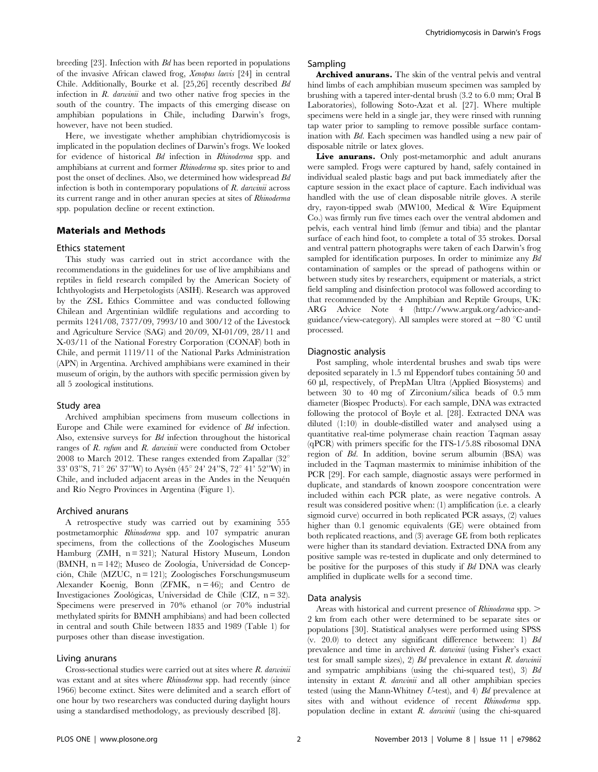breeding [23]. Infection with Bd has been reported in populations of the invasive African clawed frog, Xenopus laevis [24] in central Chile. Additionally, Bourke et al. [25,26] recently described Bd infection in  $R$ . *darwinii* and two other native frog species in the south of the country. The impacts of this emerging disease on amphibian populations in Chile, including Darwin's frogs, however, have not been studied.

Here, we investigate whether amphibian chytridiomycosis is implicated in the population declines of Darwin's frogs. We looked for evidence of historical Bd infection in Rhinoderma spp. and amphibians at current and former Rhinoderma sp. sites prior to and post the onset of declines. Also, we determined how widespread Bd infection is both in contemporary populations of R. darwinii across its current range and in other anuran species at sites of Rhinoderma spp. population decline or recent extinction.

## Materials and Methods

#### Ethics statement

This study was carried out in strict accordance with the recommendations in the guidelines for use of live amphibians and reptiles in field research compiled by the American Society of Ichthyologists and Herpetologists (ASIH). Research was approved by the ZSL Ethics Committee and was conducted following Chilean and Argentinian wildlife regulations and according to permits 1241/08, 7377/09, 7993/10 and 300/12 of the Livestock and Agriculture Service (SAG) and 20/09, XI-01/09, 28/11 and X-03/11 of the National Forestry Corporation (CONAF) both in Chile, and permit 1119/11 of the National Parks Administration (APN) in Argentina. Archived amphibians were examined in their museum of origin, by the authors with specific permission given by all 5 zoological institutions.

#### Study area

Archived amphibian specimens from museum collections in Europe and Chile were examined for evidence of Bd infection. Also, extensive surveys for Bd infection throughout the historical ranges of R. rufum and R. darwinii were conducted from October 2008 to March 2012. These ranges extended from Zapallar  $(32^{\circ}$ 33' 03"S, 71° 26' 37"W) to Aysén (45° 24' 24"S, 72° 41' 52"W) in Chile, and included adjacent areas in the Andes in the Neuquén and Río Negro Provinces in Argentina (Figure 1).

#### Archived anurans

A retrospective study was carried out by examining 555 postmetamorphic Rhinoderma spp. and 107 sympatric anuran specimens, from the collections of the Zoologisches Museum Hamburg (ZMH,  $n = 321$ ); Natural History Museum, London (BMNH,  $n = 142$ ); Museo de Zoología, Universidad de Concepción, Chile (MZUC, n = 121); Zoologisches Forschungsmuseum Alexander Koenig, Bonn (ZFMK, n = 46); and Centro de Investigaciones Zoológicas, Universidad de Chile (CIZ,  $n = 32$ ). Specimens were preserved in 70% ethanol (or 70% industrial methylated spirits for BMNH amphibians) and had been collected in central and south Chile between 1835 and 1989 (Table 1) for purposes other than disease investigation.

## Living anurans

Cross-sectional studies were carried out at sites where R. darwinii was extant and at sites where Rhinoderma spp. had recently (since 1966) become extinct. Sites were delimited and a search effort of one hour by two researchers was conducted during daylight hours using a standardised methodology, as previously described [8].

## Sampling

Archived anurans. The skin of the ventral pelvis and ventral hind limbs of each amphibian museum specimen was sampled by brushing with a tapered inter-dental brush (3.2 to 6.0 mm; Oral B Laboratories), following Soto-Azat et al. [27]. Where multiple specimens were held in a single jar, they were rinsed with running tap water prior to sampling to remove possible surface contamination with Bd. Each specimen was handled using a new pair of disposable nitrile or latex gloves.

Live anurans. Only post-metamorphic and adult anurans were sampled. Frogs were captured by hand, safely contained in individual sealed plastic bags and put back immediately after the capture session in the exact place of capture. Each individual was handled with the use of clean disposable nitrile gloves. A sterile dry, rayon-tipped swab (MW100, Medical & Wire Equipment Co.) was firmly run five times each over the ventral abdomen and pelvis, each ventral hind limb (femur and tibia) and the plantar surface of each hind foot, to complete a total of 35 strokes. Dorsal and ventral pattern photographs were taken of each Darwin's frog sampled for identification purposes. In order to minimize any Bd contamination of samples or the spread of pathogens within or between study sites by researchers, equipment or materials, a strict field sampling and disinfection protocol was followed according to that recommended by the Amphibian and Reptile Groups, UK: ARG Advice Note 4 (http://www.arguk.org/advice-andguidance/view-category). All samples were stored at  $-80$  °C until processed.

#### Diagnostic analysis

Post sampling, whole interdental brushes and swab tips were deposited separately in 1.5 ml Eppendorf tubes containing 50 and 60 ml, respectively, of PrepMan Ultra (Applied Biosystems) and between 30 to 40 mg of Zirconium/silica beads of 0.5 mm diameter (Biospec Products). For each sample, DNA was extracted following the protocol of Boyle et al. [28]. Extracted DNA was diluted (1:10) in double-distilled water and analysed using a quantitative real-time polymerase chain reaction Taqman assay (qPCR) with primers specific for the ITS-1/5.8S ribosomal DNA region of Bd. In addition, bovine serum albumin (BSA) was included in the Taqman mastermix to minimise inhibition of the PCR [29]. For each sample, diagnostic assays were performed in duplicate, and standards of known zoospore concentration were included within each PCR plate, as were negative controls. A result was considered positive when: (1) amplification (i.e. a clearly sigmoid curve) occurred in both replicated PCR assays, (2) values higher than 0.1 genomic equivalents (GE) were obtained from both replicated reactions, and (3) average GE from both replicates were higher than its standard deviation. Extracted DNA from any positive sample was re-tested in duplicate and only determined to be positive for the purposes of this study if Bd DNA was clearly amplified in duplicate wells for a second time.

#### Data analysis

Areas with historical and current presence of *Rhinoderma* spp. > 2 km from each other were determined to be separate sites or populations [30]. Statistical analyses were performed using SPSS  $(v. 20.0)$  to detect any significant difference between: 1) Bd prevalence and time in archived R. darwinii (using Fisher's exact test for small sample sizes), 2)  $Bd$  prevalence in extant R. darwinii and sympatric amphibians (using the chi-squared test), 3) Bd intensity in extant  $R$ . *darwinii* and all other amphibian species tested (using the Mann-Whitney U-test), and 4) Bd prevalence at sites with and without evidence of recent Rhinoderma spp. population decline in extant  $R$ . darwinii (using the chi-squared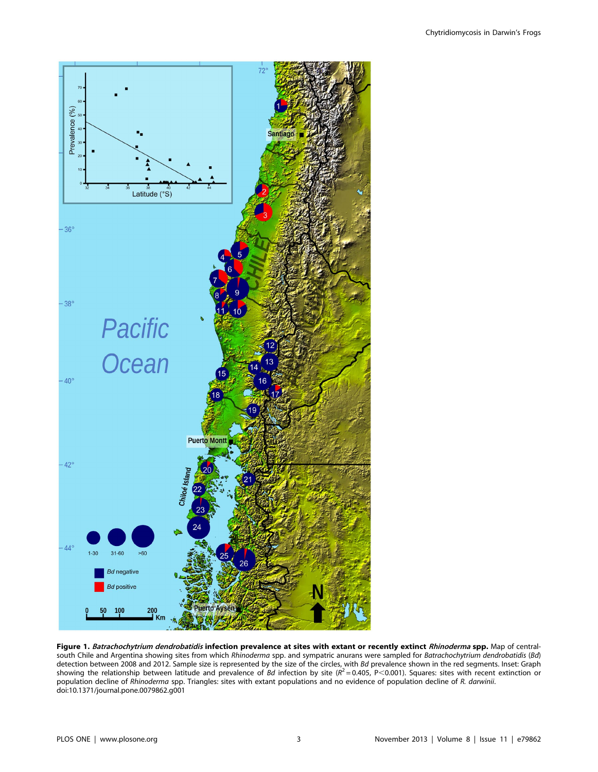

Figure 1. Batrachochytrium dendrobatidis infection prevalence at sites with extant or recently extinct Rhinoderma spp. Map of centralsouth Chile and Argentina showing sites from which Rhinoderma spp. and sympatric anurans were sampled for Batrachochytrium dendrobatidis (Bd) detection between 2008 and 2012. Sample size is represented by the size of the circles, with Bd prevalence shown in the red segments. Inset: Graph<br>showing the relationship between latitude and prevalence of Bd infection b population decline of Rhinoderma spp. Triangles: sites with extant populations and no evidence of population decline of R. darwinii. doi:10.1371/journal.pone.0079862.g001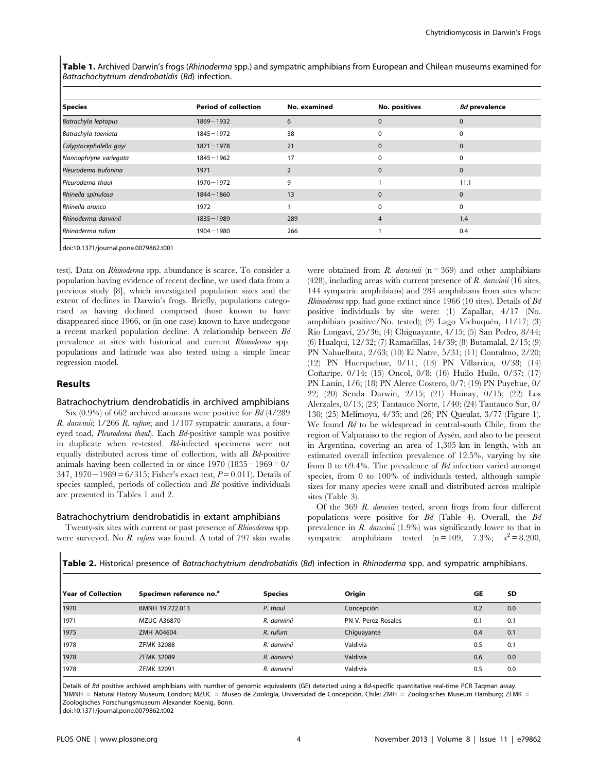Table 1. Archived Darwin's frogs (Rhinoderma spp.) and sympatric amphibians from European and Chilean museums examined for Batrachochytrium dendrobatidis (Bd) infection.

| <b>Species</b>         | <b>Period of collection</b> | No. examined | No. positives  | <b>Bd</b> prevalence |
|------------------------|-----------------------------|--------------|----------------|----------------------|
| Batrachyla leptopus    | $1869 - 1932$               | 6            | $\mathbf 0$    | $\mathbf 0$          |
| Batrachyla taeniata    | $1845 - 1972$               | 38           | $\Omega$       | $\Omega$             |
| Calyptocephalella gayi | $1871 - 1978$               | 21           | $\Omega$       | $\mathbf 0$          |
| Nannophryne variegata  | $1845 - 1962$               | 17           | $\Omega$       |                      |
| Pleurodema bufonina    | 1971                        |              | $\Omega$       | $\mathbf 0$          |
| Pleurodema thaul       | $1970 - 1972$               | 9            |                | 11.1                 |
| Rhinella spinulosa     | $1844 - 1860$               | 13           | $\Omega$       | $\mathbf 0$          |
| Rhinella arunco        | 1972                        |              | $\Omega$       | $\Omega$             |
| Rhinoderma darwinii    | $1835 - 1989$               | 289          | $\overline{4}$ | 1.4                  |
| Rhinoderma rufum       | $1904 - 1980$               | 266          |                | 0.4                  |

doi:10.1371/journal.pone.0079862.t001

test). Data on Rhinoderma spp. abundance is scarce. To consider a population having evidence of recent decline, we used data from a previous study [8], which investigated population sizes and the extent of declines in Darwin's frogs. Briefly, populations categorised as having declined comprised those known to have disappeared since 1966, or (in one case) known to have undergone a recent marked population decline. A relationship between Bd prevalence at sites with historical and current Rhinoderma spp. populations and latitude was also tested using a simple linear regression model.

## Results

## Batrachochytrium dendrobatidis in archived amphibians

Six (0.9%) of 662 archived anurans were positive for Bd (4/289 R. darwinii;  $1/266$  R. rufum; and  $1/107$  sympatric anurans, a foureyed toad, Pleurodema thaul). Each Bd-positive sample was positive in duplicate when re-tested. Bd-infected specimens were not equally distributed across time of collection, with all Bd-positive animals having been collected in or since  $1970$  ( $1835-1969=0/$ 347, 1970 – 1989 = 6/315; Fisher's exact test,  $P = 0.011$ ). Details of species sampled, periods of collection and Bd positive individuals are presented in Tables 1 and 2.

#### Batrachochytrium dendrobatidis in extant amphibians

Twenty-six sites with current or past presence of Rhinoderma spp. were surveyed. No R. rufum was found. A total of 797 skin swabs were obtained from R. darwing  $(n = 369)$  and other amphibians  $(428)$ , including areas with current presence of R. darwinii (16 sites, 144 sympatric amphibians) and 284 amphibians from sites where Rhinoderma spp. had gone extinct since 1966 (10 sites). Details of Bd positive individuals by site were: (1) Zapallar, 4/17 (No. amphibian positive/No. tested); (2) Lago Vichuquén, 11/17; (3) Rı´o Longavı´, 25/36; (4) Chiguayante, 4/15; (5) San Pedro, 8/44; (6) Hualqui, 12/32; (7) Ramadillas, 14/39; (8) Butamalal, 2/15; (9) PN Nahuelbuta, 2/63; (10) El Natre, 5/31; (11) Contulmo, 2/20; (12) PN Huerquehue, 0/11; (13) PN Villarrica, 0/38; (14) Con˜aripe, 0/14; (15) Oncol, 0/8; (16) Huilo Huilo, 0/37; (17) PN Lanín, 1/6; (18) PN Alerce Costero, 0/7; (19) PN Puyehue, 0/ 22; (20) Senda Darwin, 2/15; (21) Huinay, 0/15; (22) Los Alerzales, 0/13; (23) Tantauco Norte, 1/40; (24) Tantauco Sur, 0/ 130; (25) Melimoyu, 4/35; and (26) PN Queulat, 3/77 (Figure 1). We found  $Bd$  to be widespread in central-south Chile, from the region of Valparaiso to the region of Aysén, and also to be present in Argentina, covering an area of 1,305 km in length, with an estimated overall infection prevalence of 12.5%, varying by site from 0 to 69.4%. The prevalence of Bd infection varied amongst species, from 0 to 100% of individuals tested, although sample sizes for many species were small and distributed across multiple sites (Table 3).

Of the 369 R. darwinii tested, seven frogs from four different populations were positive for Bd (Table 4). Overall, the Bd prevalence in  $R$ . *darwinii* (1.9%) was significantly lower to that in sympatric amphibians tested  $(n=109, 7.3\%; x^2=8.200,$ 

|  |  | Table 2. Historical presence of Batrachochytrium dendrobatidis (Bd) infection in Rhinoderma spp. and sympatric amphibians. |
|--|--|----------------------------------------------------------------------------------------------------------------------------|
|  |  |                                                                                                                            |

| l Year of Collection | Specimen reference no. <sup>a</sup> | <b>Species</b> | Origin              | GE  | <b>SD</b> |
|----------------------|-------------------------------------|----------------|---------------------|-----|-----------|
| 1970                 | BMNH 19.722.013                     | P. thaul       | Concepción          | 0.2 | 0.0       |
| 1971                 | <b>MZUC A36870</b>                  | R. darwinii    | PN V. Perez Rosales | 0.1 | 0.1       |
| 1975                 | ZMH A04604                          | R. rufum       | Chiguayante         | 0.4 | 0.1       |
| 1978                 | <b>ZFMK 32088</b>                   | R. darwinii    | Valdivia            | 0.5 | 0.1       |
| 1978                 | <b>ZFMK 32089</b>                   | R. darwinii    | Valdivia            | 0.6 | 0.0       |
| 1978                 | <b>ZFMK 32091</b>                   | R. darwinii    | Valdivia            | 0.5 | 0.0       |

Details of Bd positive archived amphibians with number of genomic equivalents (GE) detected using a Bd-specific quantitative real-time PCR Taqman assay. <sup>a</sup>BMNH = Natural History Museum, London; MZUC = Museo de Zoología, Universidad de Concepción, Chile; ZMH = Zoologisches Museum Hamburg; ZFMK = Zoologisches Forschungsmuseum Alexander Koenig, Bonn.

doi:10.1371/journal.pone.0079862.t002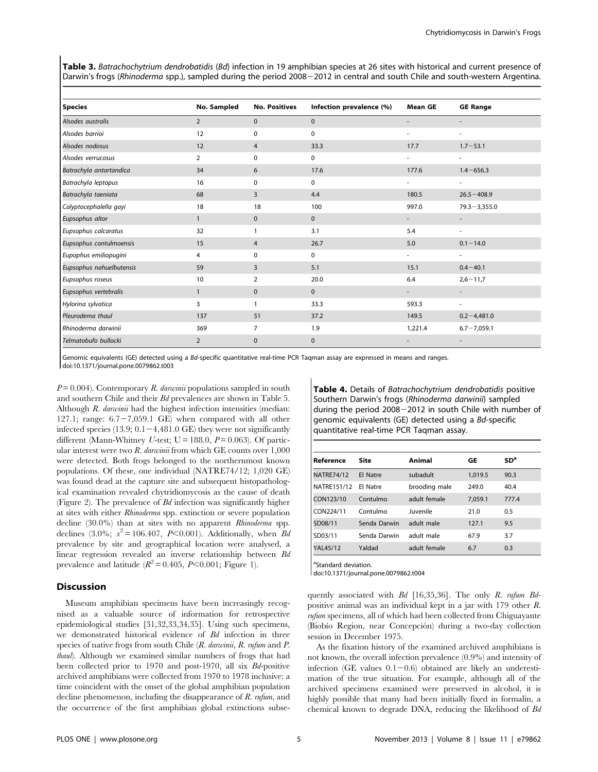Table 3. Batrachochytrium dendrobatidis (Bd) infection in 19 amphibian species at 26 sites with historical and current presence of Darwin's frogs (Rhinoderma spp.), sampled during the period 2008-2012 in central and south Chile and south-western Argentina.

| <b>Species</b>           | No. Sampled    | <b>No. Positives</b> | Infection prevalence (%) | <b>Mean GE</b>           | <b>GE Range</b>          |
|--------------------------|----------------|----------------------|--------------------------|--------------------------|--------------------------|
| Alsodes australis        | 2              | $\mathbf{0}$         | $\mathbf{0}$             | $\overline{\phantom{a}}$ | ٠                        |
| Alsodes barrioi          | 12             | 0                    | 0                        | $\overline{\phantom{a}}$ | $\overline{\phantom{a}}$ |
| Alsodes nodosus          | 12             | 4                    | 33.3                     | 17.7                     | $1.7 - 53.1$             |
| Alsodes verrucosus       | $\overline{2}$ | 0                    | 0                        | $\overline{\phantom{a}}$ | $\overline{\phantom{a}}$ |
| Batrachyla antartandica  | 34             | 6                    | 17.6                     | 177.6                    | $1.4 - 656.3$            |
| Batrachyla leptopus      | 16             | 0                    | 0                        | $\overline{\phantom{a}}$ | $\overline{\phantom{a}}$ |
| Batrachyla taeniata      | 68             | 3                    | 4.4                      | 180.5                    | $26.5 - 408.9$           |
| Calyptocephalella gayi   | 18             | 18                   | 100                      | 997.0                    | $79.3 - 3,355.0$         |
| Eupsophus altor          | $\mathbf{1}$   | $\mathbf 0$          | $\mathbf{0}$             | $\overline{\phantom{a}}$ | $\overline{\phantom{a}}$ |
| Eupsophus calcaratus     | 32             | $\mathbf{1}$         | 3.1                      | 5.4                      | $\overline{\phantom{a}}$ |
| Eupsophus contulmoensis  | 15             | 4                    | 26.7                     | 5.0                      | $0.1 - 14.0$             |
| Eupophus emiliopugini    | 4              | 0                    | $\mathbf 0$              |                          | $\sim$                   |
| Eupsophus nahuelbutensis | 59             | 3                    | 5.1                      | 15.1                     | $0.4 - 40.1$             |
| Eupsophus roseus         | 10             | $\overline{2}$       | 20.0                     | 6.4                      | $2,6 - 11,7$             |
| Eupsophus vertebralis    | $\mathbf{1}$   | $\mathbf 0$          | $\mathbf{0}$             | $\overline{\phantom{a}}$ | $\overline{\phantom{a}}$ |
| Hylorina sylvatica       | 3              | $\mathbf{1}$         | 33.3                     | 593.3                    | $\overline{\phantom{a}}$ |
| Pleurodema thaul         | 137            | 51                   | 37.2                     | 149.5                    | $0.2 - 4,481.0$          |
| Rhinoderma darwinii      | 369            | $\overline{7}$       | 1.9                      | 1,221.4                  | $6.7 - 7,059.1$          |
| Telmatobufo bullocki     | $\overline{2}$ | $\mathbf{0}$         | $\mathbf{0}$             | $\overline{\phantom{a}}$ | $\overline{\phantom{a}}$ |

Genomic equivalents (GE) detected using a Bd-specific quantitative real-time PCR Taqman assay are expressed in means and ranges. doi:10.1371/journal.pone.0079862.t003

 $P = 0.004$ ). Contemporary R. darwinii populations sampled in south and southern Chile and their Bd prevalences are shown in Table 5. Although R. darwinii had the highest infection intensities (median: 127.1; range:  $6.7-7,059.1$  GE) when compared with all other infected species  $(13.9; 0.1-4,481.0 \text{ GE})$  they were not significantly different (Mann-Whitney U-test;  $U = 188.0$ ,  $P = 0.063$ ). Of particular interest were two  $R$ , darwinii from which GE counts over  $1,000$ were detected. Both frogs belonged to the northernmost known populations. Of these, one individual (NATRE74/12; 1,020 GE) was found dead at the capture site and subsequent histopathological examination revealed chytridiomycosis as the cause of death (Figure 2). The prevalence of Bd infection was significantly higher at sites with either Rhinoderma spp. extinction or severe population decline (30.0%) than at sites with no apparent Rhinoderma spp. declines (3.0%;  $x^2 = 106.407$ , P<0.001). Additionally, when Ba prevalence by site and geographical location were analysed, a linear regression revealed an inverse relationship between Bd prevalence and latitude ( $R^2 = 0.405$ ,  $P < 0.001$ ; Figure 1).

## Discussion

Museum amphibian specimens have been increasingly recognised as a valuable source of information for retrospective epidemiological studies [31,32,33,34,35]. Using such specimens, we demonstrated historical evidence of Bd infection in three species of native frogs from south Chile  $(R.$  darwinii,  $R.$  rufum and  $P.$ thaul). Although we examined similar numbers of frogs that had been collected prior to 1970 and post-1970, all six Bd-positive archived amphibians were collected from 1970 to 1978 inclusive: a time coincident with the onset of the global amphibian population decline phenomenon, including the disappearance of R. rufum, and the occurrence of the first amphibian global extinctions subseTable 4. Details of Batrachochytrium dendrobatidis positive Southern Darwin's frogs (Rhinoderma darwinii) sampled during the period  $2008-2012$  in south Chile with number of genomic equivalents (GE) detected using a Bd-specific quantitative real-time PCR Taqman assay.

| Reference         | Site         | Animal        | GE      | SD <sup>a</sup> |
|-------------------|--------------|---------------|---------|-----------------|
| <b>NATRE74/12</b> | El Natre     | subadult      | 1,019.5 | 90.3            |
| NATRE151/12       | Fl Natre     | brooding male | 249.0   | 40.4            |
| CON123/10         | Contulmo     | adult female  | 7,059.1 | 777.4           |
| CON224/11         | Contulmo     | Juvenile      | 21.0    | 0.5             |
| SD08/11           | Senda Darwin | adult male    | 127.1   | 9.5             |
| SD03/11           | Senda Darwin | adult male    | 67.9    | 3.7             |
| YAL45/12          | Yaldad       | adult female  | 6.7     | 0.3             |

<sup>a</sup>Standard deviation.

doi:10.1371/journal.pone.0079862.t004

quently associated with Bd [16,35,36]. The only R. rufum Bdpositive animal was an individual kept in a jar with 179 other R. rufum specimens, all of which had been collected from Chiguayante (Biobío Region, near Concepción) during a two-day collection session in December 1975.

As the fixation history of the examined archived amphibians is not known, the overall infection prevalence (0.9%) and intensity of infection (GE values  $0.1-0.6$ ) obtained are likely an underestimation of the true situation. For example, although all of the archived specimens examined were preserved in alcohol, it is highly possible that many had been initially fixed in formalin, a chemical known to degrade DNA, reducing the likelihood of Bd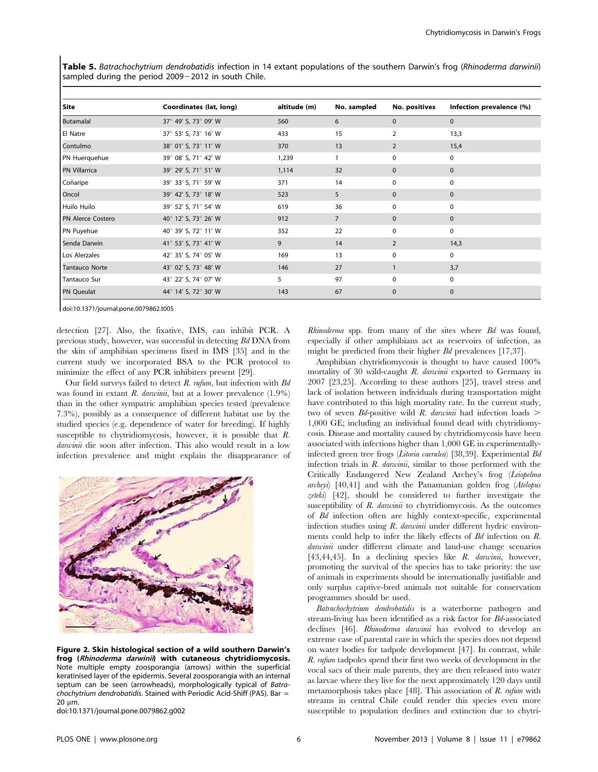Table 5. Batrachochytrium dendrobatidis infection in 14 extant populations of the southern Darwin's frog (Rhinoderma darwinii) sampled during the period  $2009 - 2012$  in south Chile.

| Site                     | Coordinates (lat, long) | altitude (m) | No. sampled    | No. positives  | Infection prevalence (%) |
|--------------------------|-------------------------|--------------|----------------|----------------|--------------------------|
| Butamalal                | 37° 49' S, 73° 09' W    | 560          | 6              | $\mathbf{0}$   | $\mathbf{0}$             |
| El Natre                 | 37° 53' S, 73° 16' W    | 433          | 15             | 2              | 13,3                     |
| Contulmo                 | 38° 01' S, 73° 11' W    | 370          | 13             | $\overline{2}$ | 15,4                     |
| PN Huerquehue            | 39° 08' S, 71° 42' W    | 1,239        |                | $\mathbf 0$    | 0                        |
| <b>PN Villarrica</b>     | 39° 29' S, 71° 51' W    | 1,114        | 32             | $\mathbf{0}$   | $\mathbf{0}$             |
| Coñaripe                 | 39° 33' S, 71° 59' W    | 371          | 14             | $\mathbf 0$    | $\mathbf 0$              |
| Oncol                    | 39° 42' S, 73° 18' W    | 523          | 5              | $\mathbf{0}$   | $\mathbf{0}$             |
| Huilo Huilo              | 39° 52' S, 71° 54' W    | 619          | 36             | 0              | 0                        |
| <b>PN Alerce Costero</b> | 40° 12' S, 73° 26' W    | 912          | $\overline{7}$ | $\mathbf{0}$   | $\mathbf{0}$             |
| PN Puyehue               | 40° 39' S, 72° 11' W    | 352          | 22             | $\mathbf 0$    | $\mathbf 0$              |
| Senda Darwin             | 41° 53' S, 73° 41' W    | 9            | 14             | $\overline{2}$ | 14,3                     |
| Los Alerzales            | 42° 35' S, 74° 05' W    | 169          | 13             | 0              | 0                        |
| <b>Tantauco Norte</b>    | 43° 02' S, 73° 48' W    | 146          | 27             |                | 3,7                      |
| Tantauco Sur             | 43° 22' S, 74° 07' W    | 5            | 97             | 0              | 0                        |
| <b>PN Queulat</b>        | 44° 14' S, 72° 30' W    | 143          | 67             | $\mathbf{0}$   | $\mathbf{0}$             |

doi:10.1371/journal.pone.0079862.t005

detection [27]. Also, the fixative, IMS, can inhibit PCR. A previous study, however, was successful in detecting Bd DNA from the skin of amphibian specimens fixed in IMS [35] and in the current study we incorporated BSA to the PCR protocol to minimize the effect of any PCR inhibiters present [29].

Our field surveys failed to detect  $R$ . rufum, but infection with  $Bd$ was found in extant R. darwinii, but at a lower prevalence  $(1.9\%)$ than in the other sympatric amphibian species tested (prevalence 7.3%), possibly as a consequence of different habitat use by the studied species (e.g. dependence of water for breeding). If highly susceptible to chytridiomycosis, however, it is possible that R. darwinii die soon after infection. This also would result in a low infection prevalence and might explain the disappearance of



Figure 2. Skin histological section of a wild southern Darwin's frog (Rhinoderma darwinii) with cutaneous chytridiomycosis. Note multiple empty zoosporangia (arrows) within the superficial keratinised layer of the epidermis. Several zoosporangia with an internal septum can be seen (arrowheads), morphologically typical of Batrachochytrium dendrobatidis. Stained with Periodic Acid-Shiff (PAS). Bar  $=$ 20 um.

doi:10.1371/journal.pone.0079862.g002

Rhinoderma spp. from many of the sites where Bd was found, especially if other amphibians act as reservoirs of infection, as might be predicted from their higher Bd prevalences [17,37].

Amphibian chytridiomycosis is thought to have caused 100% mortality of 30 wild-caught R. darwinii exported to Germany in 2007 [23,25]. According to these authors [25], travel stress and lack of isolation between individuals during transportation might have contributed to this high mortality rate. In the current study, two of seven  $Bd$ -positive wild R. *darwinii* had infection loads  $\geq$ 1,000 GE; including an individual found dead with chytridiomycosis. Disease and mortality caused by chytridiomycosis have been associated with infections higher than 1,000 GE in experimentallyinfected green tree frogs (Litoria caerulea) [38,39]. Experimental Bd infection trials in R. darwinii, similar to those performed with the Critically Endangered New Zealand Archey's frog (Leiopelma archeyi) [40,41] and with the Panamanian golden frog (Atelopus zeteki) [42], should be considered to further investigate the susceptibility of R. darwinii to chytridiomycosis. As the outcomes of Bd infection often are highly context-specific, experimental infection studies using  $R$ . *darwinii* under different hydric environments could help to infer the likely effects of Bd infection on R. darwinii under different climate and land-use change scenarios [43,44,45]. In a declining species like R. darwinii, however, promoting the survival of the species has to take priority: the use of animals in experiments should be internationally justifiable and only surplus captive-bred animals not suitable for conservation programmes should be used.

Batrachochytrium dendrobatidis is a waterborne pathogen and stream-living has been identified as a risk factor for Bd-associated declines [46]. Rhinoderma darwinii has evolved to develop an extreme case of parental care in which the species does not depend on water bodies for tadpole development [47]. In contrast, while R. rufum tadpoles spend their first two weeks of development in the vocal sacs of their male parents, they are then released into water as larvae where they live for the next approximately 120 days until metamorphosis takes place [48]. This association of R. rufum with streams in central Chile could render this species even more susceptible to population declines and extinction due to chytri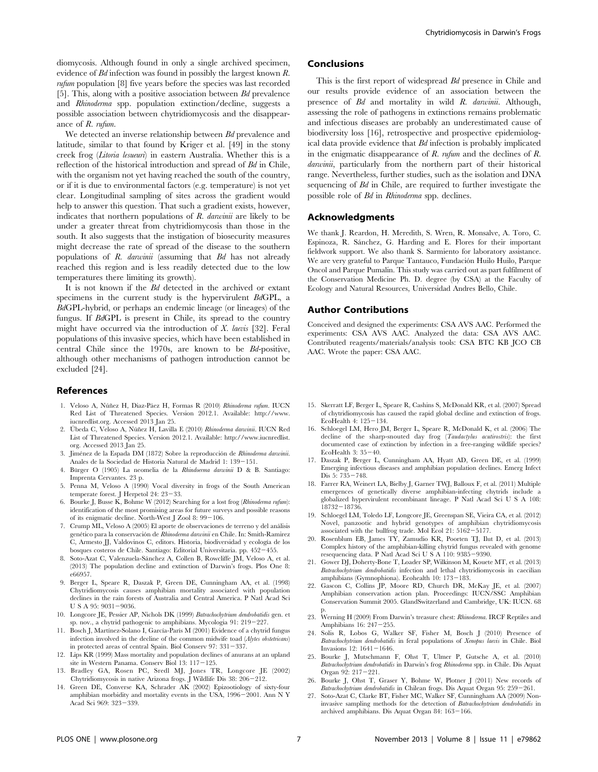diomycosis. Although found in only a single archived specimen, evidence of Bd infection was found in possibly the largest known R. rufum population [8] five years before the species was last recorded [5]. This, along with a positive association between Bd prevalence and Rhinoderma spp. population extinction/decline, suggests a possible association between chytridiomycosis and the disappearance of R. rufum.

We detected an inverse relationship between  $Bd$  prevalence and latitude, similar to that found by Kriger et al. [49] in the stony creek frog (Litoria lesueuri) in eastern Australia. Whether this is a reflection of the historical introduction and spread of Bd in Chile, with the organism not yet having reached the south of the country, or if it is due to environmental factors (e.g. temperature) is not yet clear. Longitudinal sampling of sites across the gradient would help to answer this question. That such a gradient exists, however, indicates that northern populations of R. darwinii are likely to be under a greater threat from chytridiomycosis than those in the south. It also suggests that the instigation of biosecurity measures might decrease the rate of spread of the disease to the southern populations of  $R$ . *darwinii* (assuming that  $Bd$  has not already reached this region and is less readily detected due to the low temperatures there limiting its growth).

It is not known if the Bd detected in the archived or extant specimens in the current study is the hypervirulent BdGPL, a BdGPL-hybrid, or perhaps an endemic lineage (or lineages) of the fungus. If BdGPL is present in Chile, its spread to the country might have occurred via the introduction of  $X$ . laevis [32]. Feral populations of this invasive species, which have been established in central Chile since the 1970s, are known to be Bd-positive, although other mechanisms of pathogen introduction cannot be excluded [24].

#### References

- 1. Veloso A, Núñez H, Diaz-Páez H, Formas R (2010) Rhinoderma rufum. IUCN Red List of Threatened Species. Version 2012.1. Available: http://www. iucnredlist.org. Accessed 2013 Jan 25.
- 2. Úbeda C, Veloso A, Núñez H, Lavilla E (2010) Rhinoderma darwinii. IUCN Red List of Threatened Species. Version 2012.1. Available: http://www.iucnredlist. org. Accessed 2013 Jan 25.
- 3. Jiménez de la Espada DM (1872) Sobre la reproducción de Rhinoderma darwinii. Anales de la Sociedad de Historia Natural de Madrid 1: 139-151.
- 4. Bürger O (1905) La neomelia de la Rhindoerma darwinii D & B. Santiago: Imprenta Cervantes. 23 p.
- 5. Penna M, Veloso A (1990) Vocal diversity in frogs of the South American temperate forest. J Herpetol 24:  $23-33$ .
- 6. Bourke J, Busse K, Bohme W (2012) Searching for a lost frog (Rhinoderma rufum): identification of the most promising areas for future surveys and possible reasons of its enigmatic decline. North-West J Zool 8:  $99-106$ .
- 7. Crump ML, Veloso A (2005) El aporte de observaciones de terreno y del análisis genético para la conservación de Rhinoderma darwinii en Chile. In: Smith-Ramirez C, Armesto JJ, Valdovinos C, editors. Historia, biodiversidad y ecología de los bosques costeros de Chile. Santiago: Editorial Universitaria. pp. 452-455.
- 8. Soto-Azat C, Valenzuela-Sánchez A, Collen B, Rowcliffe JM, Veloso A, et al. (2013) The population decline and extinction of Darwin's frogs. Plos One 8: e66957.
- 9. Berger L, Speare R, Daszak P, Green DE, Cunningham AA, et al. (1998) Chytridiomycosis causes amphibian mortality associated with population declines in the rain forests of Australia and Central America. P Natl Acad Sci U S A 95:  $9031 - 9036$
- 10. Longcore JE, Pessier AP, Nichols DK (1999) Batrachochytrium dendrobatidis gen. et sp. nov., a chytrid pathogenic to amphibians. Mycologia 91: 219-227.
- 11. Bosch J, Martínez-Solano I, García-París M (2001) Evidence of a chytrid fungus infection involved in the decline of the common midwife toad (Alytes obstetricans) in protected areas of central Spain. Biol Conserv  $97: 331-337$ .
- 12. Lips KR (1999) Mass mortality and population declines of anurans at an upland site in Western Panama. Conserv Biol 13: 117-125.
- 13. Bradley GA, Rosen PC, Sredl MJ, Jones TR, Longcore JE (2002) Chytridiomycosis in native Arizona frogs. J Wildlife Dis  $38: 206-212$ .
- 14. Green DE, Converse KA, Schrader AK (2002) Epizootiology of sixty-four amphibian morbidity and mortality events in the USA,  $1996-2001$ . Ann N Y Acad Sci 969: 323-339.

## Conclusions

This is the first report of widespread Bd presence in Chile and our results provide evidence of an association between the presence of Bd and mortality in wild R. darwinii. Although, assessing the role of pathogens in extinctions remains problematic and infectious diseases are probably an underestimated cause of biodiversity loss [16], retrospective and prospective epidemiological data provide evidence that Bd infection is probably implicated in the enigmatic disappearance of R. rufum and the declines of R. darwinii, particularly from the northern part of their historical range. Nevertheless, further studies, such as the isolation and DNA sequencing of Bd in Chile, are required to further investigate the possible role of Bd in Rhinoderma spp. declines.

## Acknowledgments

We thank J. Reardon, H. Meredith, S. Wren, R. Monsalve, A. Toro, C. Espinoza, R. Sánchez, G. Harding and E. Flores for their important fieldwork support. We also thank S. Sarmiento for laboratory assistance. We are very grateful to Parque Tantauco, Fundación Huilo Huilo, Parque Oncol and Parque Pumalín. This study was carried out as part fulfilment of the Conservation Medicine Ph. D. degree (by CSA) at the Faculty of Ecology and Natural Resources, Universidad Andres Bello, Chile.

#### Author Contributions

Conceived and designed the experiments: CSA AVS AAC. Performed the experiments: CSA AVS AAC. Analyzed the data: CSA AVS AAC. Contributed reagents/materials/analysis tools: CSA BTC KB JCO CB AAC. Wrote the paper: CSA AAC.

- 15. Skerratt LF, Berger L, Speare R, Cashins S, McDonald KR, et al. (2007) Spread of chytridiomycosis has caused the rapid global decline and extinction of frogs. EcoHealth  $4:125-134.$
- 16. Schloegel LM, Hero JM, Berger L, Speare R, McDonald K, et al. (2006) The decline of the sharp-snouted day frog (Taudactylus acutirostris): the first documented case of extinction by infection in a free-ranging wildlife species? EcoHealth 3:  $35-40$ .
- 17. Daszak P, Berger L, Cunningham AA, Hyatt AD, Green DE, et al. (1999) Emerging infectious diseases and amphibian population declines. Emerg Infect Dis  $5:735 - 748$ .
- 18. Farrer RA, Weinert LA, Bielby J, Garner TWJ, Balloux F, et al. (2011) Multiple emergences of genetically diverse amphibian-infecting chytrids include a globalized hypervirulent recombinant lineage. P Natl Acad Sci U S A 108:  $18732 - 18736$ .
- 19. Schloegel LM, Toledo LF, Longcore JE, Greenspan SE, Vieira CA, et al. (2012) Novel, panzootic and hybrid genotypes of amphibian chytridiomycosis associated with the bullfrog trade. Mol Ecol 21:  $5162 - 5177$
- 20. Rosenblum EB, James TY, Zamudio KR, Poorten TJ, Ilut D, et al. (2013) Complex history of the amphibian-killing chytrid fungus revealed with genome resequencing data. P Natl Acad Sci U S A 110: 9385-9390.
- 21. Gower DJ, Doherty-Bone T, Loader SP, Wilkinson M, Kouete MT, et al. (2013) Batrachochytrium dendrobatidis infection and lethal chytridiomycosis in caecilian amphibians (Gymnophiona). Ecohealth 10: 173-183.
- 22. Gascon C, Collins JP, Moore RD, Church DR, McKay JE, et al. (2007) Amphibian conservation action plan. Proceedings: IUCN/SSC Amphibian Conservation Summit 2005. GlandSwitzerland and Cambridge, UK: IUCN. 68 p.
- 23. Werning H (2009) From Darwin's treasure chest: Rhinoderma. IRCF Reptiles and Amphibians 16:  $247 - 255$ .
- 24. Solis R, Lobos G, Walker SF, Fisher M, Bosch J (2010) Presence of Batrachochytrium dendrobatidis in feral populations of Xenopus laevis in Chile. Biol Invasions  $12: 1641 - 1646$ .
- 25. Bourke J, Mutschmann F, Ohst T, Ulmer P, Gutsche A, et al. (2010) Batrachochytrium dendrobatidis in Darwin's frog Rhinoderma spp. in Chile. Dis Aquat Organ  $92: 217 - 221$ .
- 26. Bourke J, Ohst T, Graser Y, Bohme W, Plotner J (2011) New records of Batrachochytrium dendrobatidis in Chilean frogs. Dis Aquat Organ 95: 259-261.
- 27. Soto-Azat C, Clarke BT, Fisher MC, Walker SF, Cunningham AA (2009) Noninvasive sampling methods for the detection of Batrachochytrium dendrobatidis in archived amphibians. Dis Aquat Organ 84:  $163-166$ .